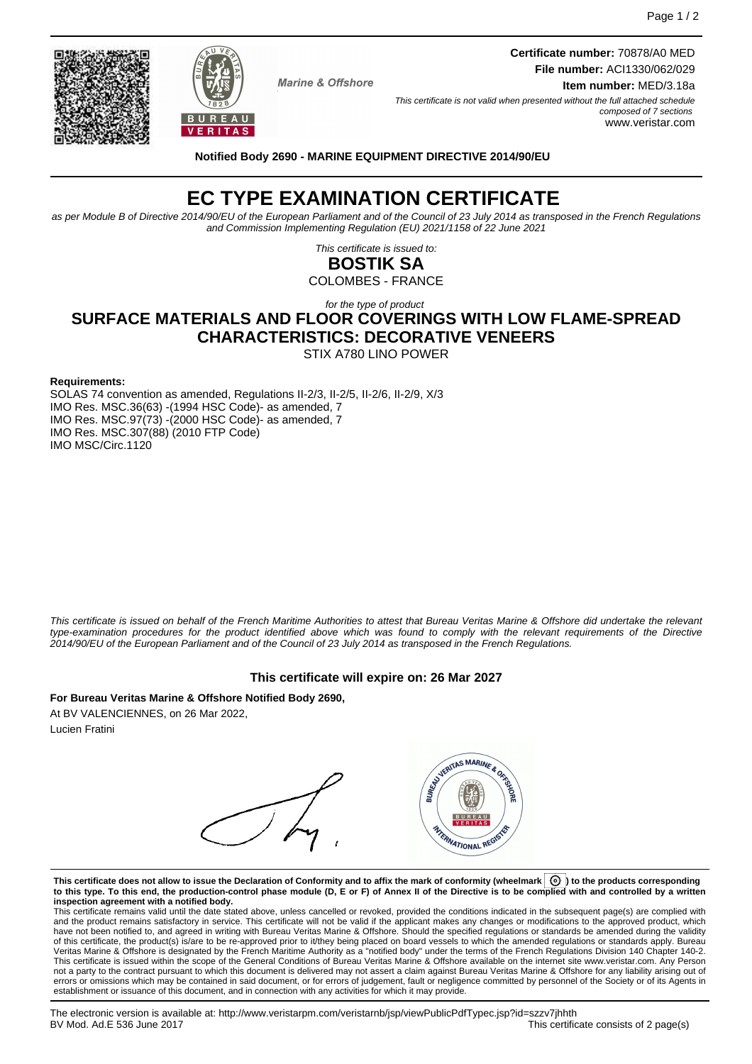**Marine & Offshore** 

**Certificate number:** 70878/A0 MED **File number:** ACI1330/062/029

**Item number:** MED/3.18a

This certificate is not valid when presented without the full attached schedule composed of 7 sections www.veristar.com

**Notified Body 2690 - MARINE EQUIPMENT DIRECTIVE 2014/90/EU**

# **EC TYPE EXAMINATION CERTIFICATE**

as per Module B of Directive 2014/90/EU of the European Parliament and of the Council of 23 July 2014 as transposed in the French Regulations and Commission Implementing Regulation (EU) 2021/1158 of 22 June 2021

> This certificate is issued to: **BOSTIK SA**

COLOMBES - FRANCE

## for the type of product **SURFACE MATERIALS AND FLOOR COVERINGS WITH LOW FLAME-SPREAD CHARACTERISTICS: DECORATIVE VENEERS**

STIX A780 LINO POWER

#### **Requirements:**

SOLAS 74 convention as amended, Regulations II-2/3, II-2/5, II-2/6, II-2/9, X/3 IMO Res. MSC.36(63) -(1994 HSC Code)- as amended, 7 IMO Res. MSC.97(73) -(2000 HSC Code)- as amended, 7 IMO Res. MSC.307(88) (2010 FTP Code) IMO MSC/Circ.1120

This certificate is issued on behalf of the French Maritime Authorities to attest that Bureau Veritas Marine & Offshore did undertake the relevant type-examination procedures for the product identified above which was found to comply with the relevant requirements of the Directive 2014/90/EU of the European Parliament and of the Council of 23 July 2014 as transposed in the French Regulations.

#### **This certificate will expire on: 26 Mar 2027**

**For Bureau Veritas Marine & Offshore Notified Body 2690,** At BV VALENCIENNES, on 26 Mar 2022, Lucien Fratini

VERITAS MARINE & ORIGIN **AYERNATIONAL REGI** 

**This certificate does not allow to issue the Declaration of Conformity and to affix the mark of conformity (wheelmark ) to the products corresponding to this type. To this end, the production-control phase module (D, E or F) of Annex II of the Directive is to be complied with and controlled by a written inspection agreement with a notified body.**

This certificate remains valid until the date stated above, unless cancelled or revoked, provided the conditions indicated in the subsequent page(s) are complied with and the product remains satisfactory in service. This certificate will not be valid if the applicant makes any changes or modifications to the approved product, which have not been notified to, and agreed in writing with Bureau Veritas Marine & Offshore. Should the specified regulations or standards be amended during the validity of this certificate, the product(s) is/are to be re-approved prior to it/they being placed on board vessels to which the amended regulations or standards apply. Bureau<br>Veritas Marine & Offshore is designated by the French not a party to the contract pursuant to which this document is delivered may not assert a claim against Bureau Veritas Marine & Offshore for any liability arising out of errors or omissions which may be contained in said document, or for errors of judgement, fault or negligence committed by personnel of the Society or of its Agents in establishment or issuance of this document, and in connection with any activities for which it may provide.